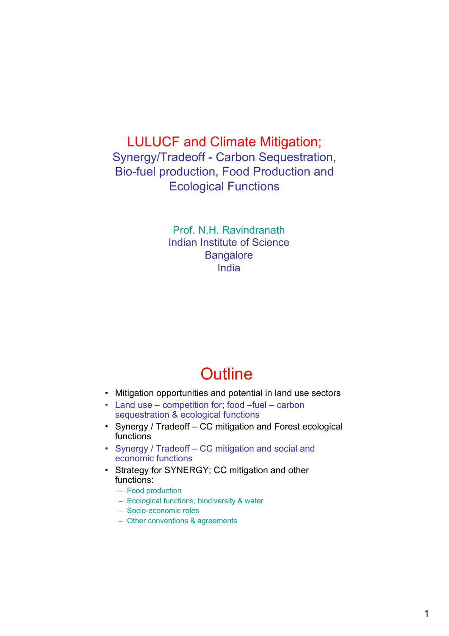### LULUCF and Climate Mitigation; Synergy/Tradeoff - Carbon Sequestration, Bio-fuel production, Food Production and Ecological Functions

Prof. N.H. Ravindranath Indian Institute of Science **Bangalore** India

## **Outline**

- Mitigation opportunities and potential in land use sectors
- Land use competition for; food –fuel carbon sequestration & ecological functions
- Synergy / Tradeoff CC mitigation and Forest ecological functions
- Synergy / Tradeoff CC mitigation and social and economic functions
- Strategy for SYNERGY; CC mitigation and other functions:
	- Food production
	- Ecological functions; biodiversity & water
	- Socio-economic roles
	- Other conventions & agreements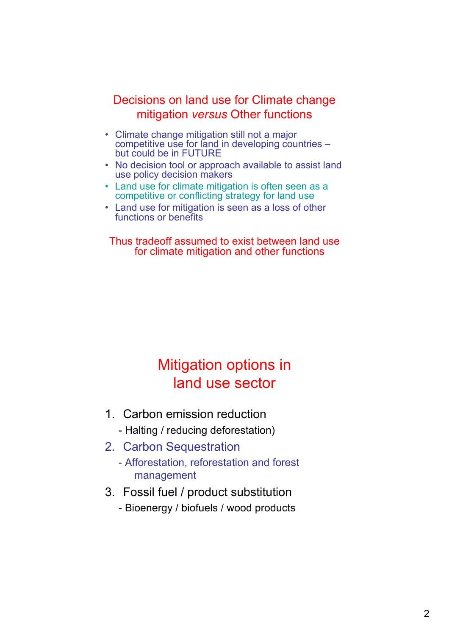#### Decisions on land use for Climate change mitigation *versus* Other functions

- Climate change mitigation still not a major competitive use for land in developing countries – but could be in FUTURE
- No decision tool or approach available to assist land use policy decision makers
- Land use for climate mitigation is often seen as a competitive or conflicting strategy for land use
- Land use for mitigation is seen as a loss of other functions or benefits

#### Thus tradeoff assumed to exist between land use for climate mitigation and other functions

### Mitigation options in land use sector

- 1. Carbon emission reduction
	- Halting / reducing deforestation)
- 2. Carbon Sequestration
	- Afforestation, reforestation and forest management
- 3. Fossil fuel / product substitution
	- Bioenergy / biofuels / wood products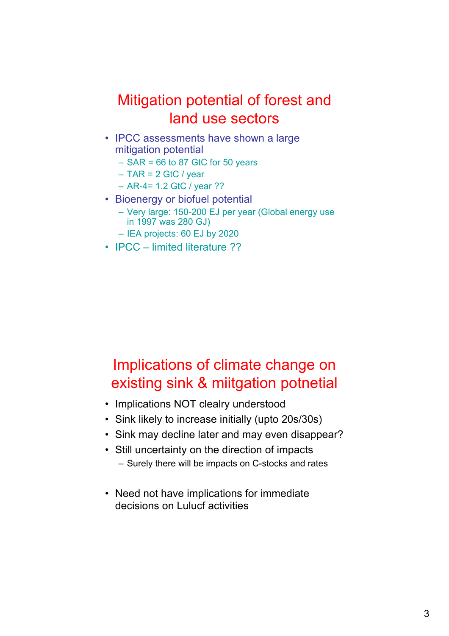### Mitigation potential of forest and land use sectors

- IPCC assessments have shown a large mitigation potential
	- $-$  SAR = 66 to 87 GtC for 50 years
	- $-$  TAR = 2 GtC / year
	- AR-4= 1.2 GtC / year ??
- Bioenergy or biofuel potential
	- Very large: 150-200 EJ per year (Global energy use in 1997 was 280 GJ)
	- IEA projects: 60 EJ by 2020
- IPCC limited literature ??

## Implications of climate change on existing sink & miitgation potnetial

- Implications NOT clealry understood
- Sink likely to increase initially (upto 20s/30s)
- Sink may decline later and may even disappear?
- Still uncertainty on the direction of impacts – Surely there will be impacts on C-stocks and rates
- Need not have implications for immediate decisions on Lulucf activities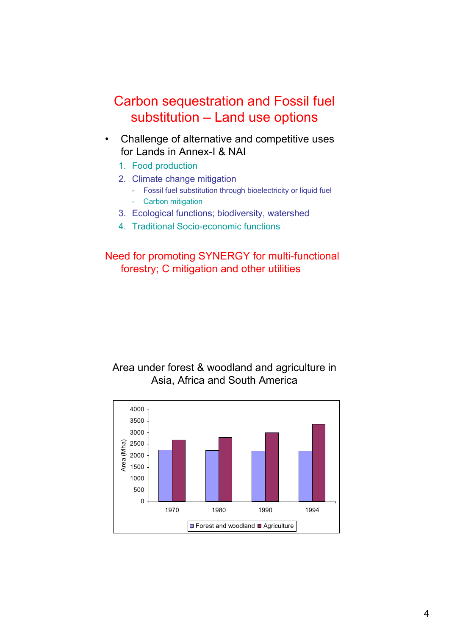### Carbon sequestration and Fossil fuel substitution – Land use options

- Challenge of alternative and competitive uses for Lands in Annex-I & NAI
	- 1. Food production
	- 2. Climate change mitigation
		- Fossil fuel substitution through bioelectricity or liquid fuel
		- Carbon mitigation
	- 3. Ecological functions; biodiversity, watershed
	- 4. Traditional Socio-economic functions

#### Need for promoting SYNERGY for multi-functional forestry; C mitigation and other utilities

#### Area under forest & woodland and agriculture in Asia, Africa and South America

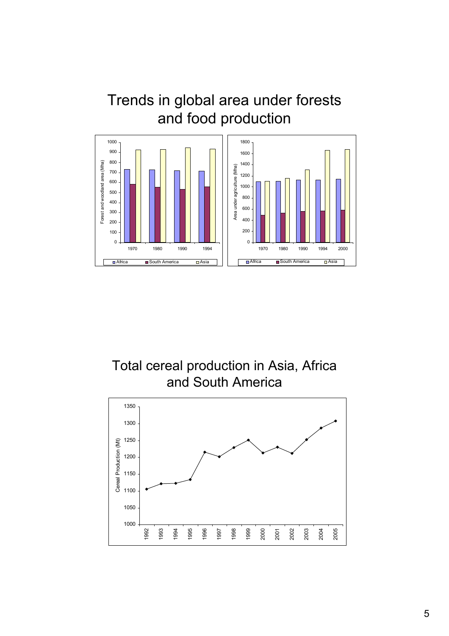### Trends in global area under forests and food production



Total cereal production in Asia, Africa and South America

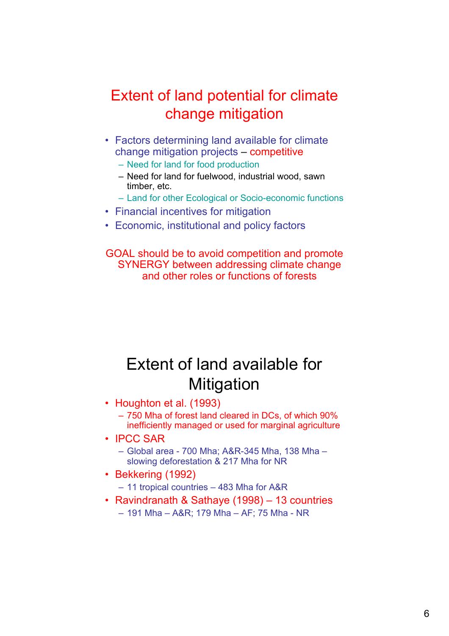## Extent of land potential for climate change mitigation

- Factors determining land available for climate change mitigation projects – competitive
	- Need for land for food production
	- Need for land for fuelwood, industrial wood, sawn timber, etc.
	- Land for other Ecological or Socio-economic functions
- Financial incentives for mitigation
- Economic, institutional and policy factors

GOAL should be to avoid competition and promote SYNERGY between addressing climate change and other roles or functions of forests

# Extent of land available for **Mitigation**

- Houghton et al. (1993)
	- 750 Mha of forest land cleared in DCs, of which 90% inefficiently managed or used for marginal agriculture
- IPCC SAR
	- Global area 700 Mha; A&R-345 Mha, 138 Mha slowing deforestation & 217 Mha for NR
- Bekkering (1992)
	- 11 tropical countries 483 Mha for A&R
- Ravindranath & Sathaye (1998) 13 countries – 191 Mha – A&R; 179 Mha – AF; 75 Mha - NR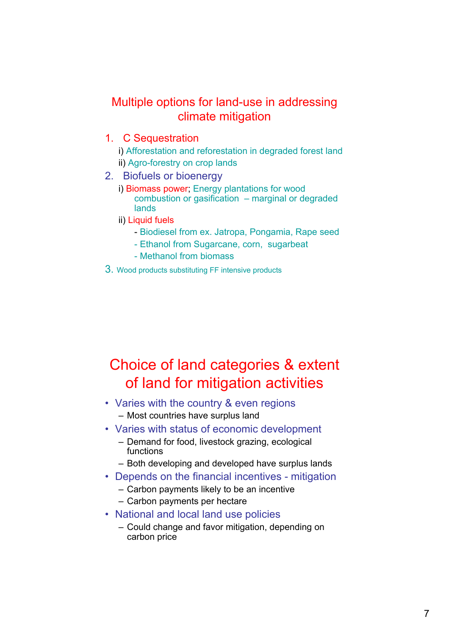### Multiple options for land-use in addressing climate mitigation

- 1. C Sequestration
	- i) Afforestation and reforestation in degraded forest land ii) Agro-forestry on crop lands
- 2. Biofuels or bioenergy
	- i) Biomass power; Energy plantations for wood combustion or gasification – marginal or degraded lands
	- ii) Liquid fuels
		- Biodiesel from ex. Jatropa, Pongamia, Rape seed
		- Ethanol from Sugarcane, corn, sugarbeat
		- Methanol from biomass
- 3. Wood products substituting FF intensive products

## Choice of land categories & extent of land for mitigation activities

- Varies with the country & even regions – Most countries have surplus land
- Varies with status of economic development
	- Demand for food, livestock grazing, ecological functions
	- Both developing and developed have surplus lands
- Depends on the financial incentives mitigation
	- Carbon payments likely to be an incentive
	- Carbon payments per hectare
- National and local land use policies
	- Could change and favor mitigation, depending on carbon price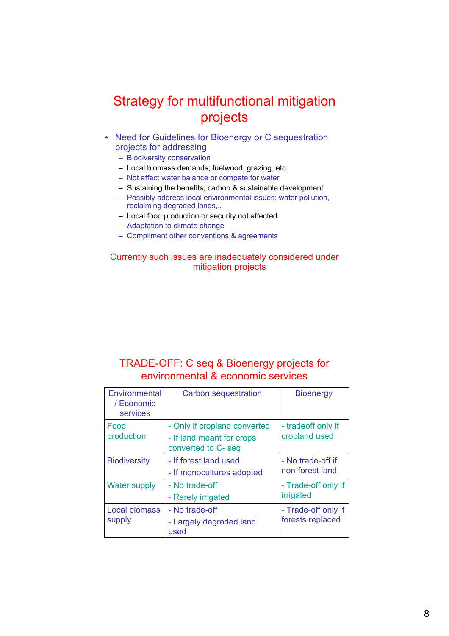### Strategy for multifunctional mitigation projects

- Need for Guidelines for Bioenergy or C sequestration projects for addressing
	- Biodiversity conservation
	- Local biomass demands; fuelwood, grazing, etc
	- Not affect water balance or compete for water
	- Sustaining the benefits; carbon & sustainable development
	- Possibly address local environmental issues; water pollution, reclaiming degraded lands,..
	- Local food production or security not affected
	- Adaptation to climate change
	- Compliment other conventions & agreements

#### Currently such issues are inadequately considered under mitigation projects

#### TRADE-OFF: C seq & Bioenergy projects for environmental & economic services

| Environmental<br>/ Economic<br>services | Carbon sequestration                                                             | <b>Bioenergy</b>                        |
|-----------------------------------------|----------------------------------------------------------------------------------|-----------------------------------------|
| Food<br>production                      | - Only if cropland converted<br>- If land meant for crops<br>converted to C- seq | - tradeoff only if<br>cropland used     |
| <b>Biodiversity</b>                     | - If forest land used<br>- If monocultures adopted                               | - No trade-off if<br>non-forest land    |
| <b>Water supply</b>                     | - No trade-off<br>- Rarely irrigated                                             | - Trade-off only if<br>irrigated        |
| <b>Local biomass</b><br>supply          | - No trade-off<br>- Largely degraded land<br>used                                | - Trade-off only if<br>forests replaced |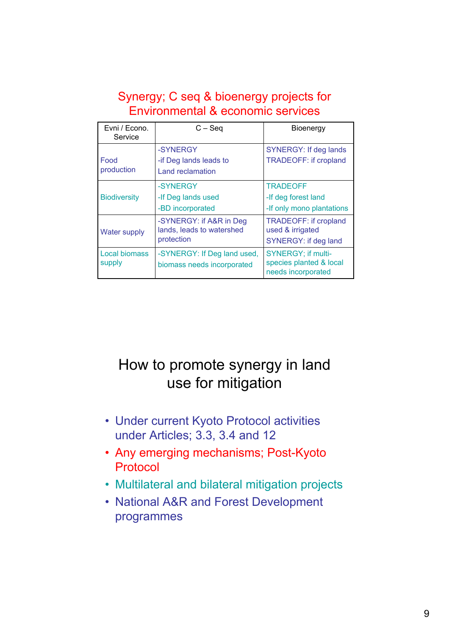### Synergy; C seq & bioenergy projects for Environmental & economic services

| Evni / Econo.<br>Service       | $C -$ Seq                                                          | Bioenergy                                                                       |
|--------------------------------|--------------------------------------------------------------------|---------------------------------------------------------------------------------|
| Food<br>production             | -SYNERGY<br>-if Deg lands leads to<br>Land reclamation             | <b>SYNERGY: If deg lands</b><br><b>TRADEOFF: if cropland</b>                    |
| <b>Biodiversity</b>            | -SYNERGY<br>-If Deg lands used<br>-BD incorporated                 | <b>TRADEOFF</b><br>-If deg forest land<br>-If only mono plantations             |
| <b>Water supply</b>            | -SYNERGY: if A&R in Deg<br>lands, leads to watershed<br>protection | <b>TRADEOFF: if cropland</b><br>used & irrigated<br><b>SYNERGY: if deg land</b> |
| <b>Local biomass</b><br>supply | -SYNERGY: If Deg land used,<br>biomass needs incorporated          | <b>SYNERGY; if multi-</b><br>species planted & local<br>needs incorporated      |

## How to promote synergy in land use for mitigation

- Under current Kyoto Protocol activities under Articles; 3.3, 3.4 and 12
- Any emerging mechanisms; Post-Kyoto Protocol
- Multilateral and bilateral mitigation projects
- National A&R and Forest Development programmes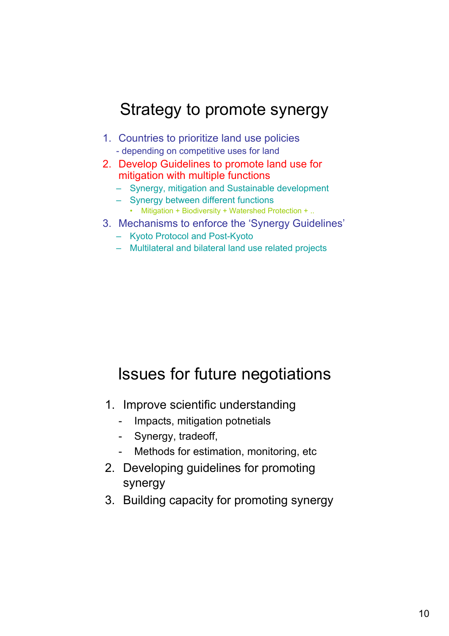# Strategy to promote synergy

- 1. Countries to prioritize land use policies - depending on competitive uses for land
- 2. Develop Guidelines to promote land use for mitigation with multiple functions
	- Synergy, mitigation and Sustainable development
	- Synergy between different functions
		- Mitigation + Biodiversity + Watershed Protection + ..
- 3. Mechanisms to enforce the 'Synergy Guidelines'
	- Kyoto Protocol and Post-Kyoto
	- Multilateral and bilateral land use related projects

# Issues for future negotiations

- 1. Improve scientific understanding
	- Impacts, mitigation potnetials
	- Synergy, tradeoff,
	- Methods for estimation, monitoring, etc.
- 2. Developing guidelines for promoting synergy
- 3. Building capacity for promoting synergy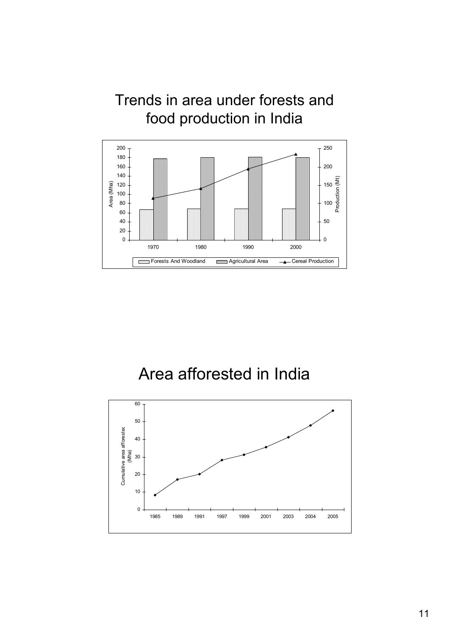### Trends in area under forests and food production in India



Area afforested in India